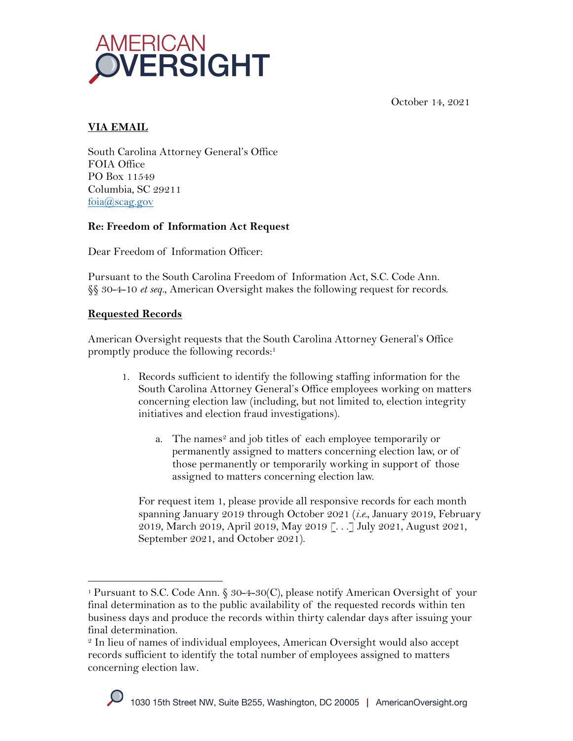



### **VIA EMAIL**

South Carolina Attorney General's Office FOIA Office PO Box 11549 Columbia, SC 29211 foia@scag.gov

# **Re: Freedom of Information Act Request**

Dear Freedom of Information Officer:

Pursuant to the South Carolina Freedom of Information Act, S.C. Code Ann. §§ 30-4-10 *et seq.*, American Oversight makes the following request for records.

## **Requested Records**

American Oversight requests that the South Carolina Attorney General's Office promptly produce the following records:1

- 1. Records sufficient to identify the following staffing information for the South Carolina Attorney General's Office employees working on matters concerning election law (including, but not limited to, election integrity initiatives and election fraud investigations).
	- a. The names<sup>2</sup> and job titles of each employee temporarily or permanently assigned to matters concerning election law, or of those permanently or temporarily working in support of those assigned to matters concerning election law.

For request item 1, please provide all responsive records for each month spanning January 2019 through October 2021 (*i.e.*, January 2019, February 2019, March 2019, April 2019, May 2019 [. . .] July 2021, August 2021, September 2021, and October 2021).

<sup>1</sup> Pursuant to S.C. Code Ann. § 30-4-30(C), please notify American Oversight of your final determination as to the public availability of the requested records within ten business days and produce the records within thirty calendar days after issuing your final determination.

<sup>2</sup> In lieu of names of individual employees, American Oversight would also accept records sufficient to identify the total number of employees assigned to matters concerning election law.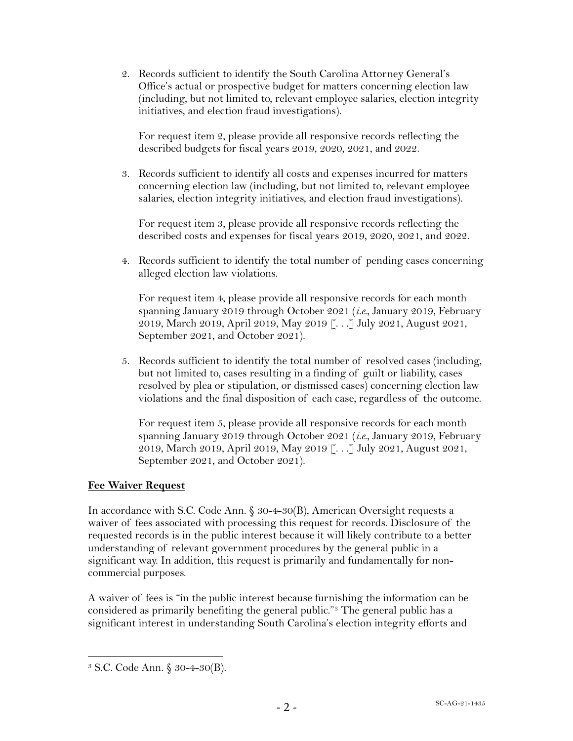2. Records sufficient to identify the South Carolina Attorney General's Office's actual or prospective budget for matters concerning election law (including, but not limited to, relevant employee salaries, election integrity initiatives, and election fraud investigations).

For request item 2, please provide all responsive records reflecting the described budgets for fiscal years 2019, 2020, 2021, and 2022.

3. Records sufficient to identify all costs and expenses incurred for matters concerning election law (including, but not limited to, relevant employee salaries, election integrity initiatives, and election fraud investigations).

For request item 3, please provide all responsive records reflecting the described costs and expenses for fiscal years 2019, 2020, 2021, and 2022.

4. Records sufficient to identify the total number of pending cases concerning alleged election law violations.

For request item 4, please provide all responsive records for each month spanning January 2019 through October 2021 (*i.e.*, January 2019, February 2019, March 2019, April 2019, May 2019 [. . .] July 2021, August 2021, September 2021, and October 2021).

5. Records sufficient to identify the total number of resolved cases (including, but not limited to, cases resulting in a finding of guilt or liability, cases resolved by plea or stipulation, or dismissed cases) concerning election law violations and the final disposition of each case, regardless of the outcome.

For request item 5, please provide all responsive records for each month spanning January 2019 through October 2021 (*i.e.*, January 2019, February 2019, March 2019, April 2019, May 2019 [. . .] July 2021, August 2021, September 2021, and October 2021).

### **Fee Waiver Request**

In accordance with S.C. Code Ann. § 30-4-30(B), American Oversight requests a waiver of fees associated with processing this request for records. Disclosure of the requested records is in the public interest because it will likely contribute to a better understanding of relevant government procedures by the general public in a significant way. In addition, this request is primarily and fundamentally for noncommercial purposes.

A waiver of fees is "in the public interest because furnishing the information can be considered as primarily benefiting the general public."3 The general public has a significant interest in understanding South Carolina's election integrity efforts and

<sup>3</sup> S.C. Code Ann. § 30-4-30(B).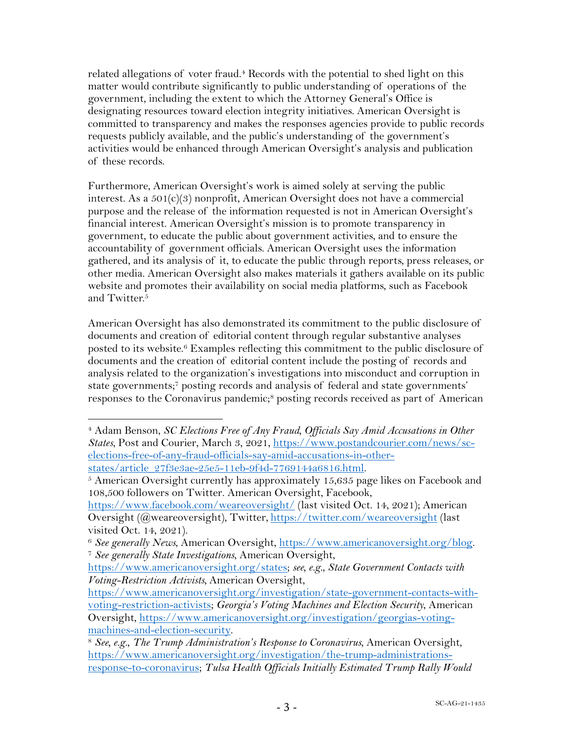related allegations of voter fraud.4 Records with the potential to shed light on this matter would contribute significantly to public understanding of operations of the government, including the extent to which the Attorney General's Office is designating resources toward election integrity initiatives. American Oversight is committed to transparency and makes the responses agencies provide to public records requests publicly available, and the public's understanding of the government's activities would be enhanced through American Oversight's analysis and publication of these records.

Furthermore, American Oversight's work is aimed solely at serving the public interest. As a 501(c)(3) nonprofit, American Oversight does not have a commercial purpose and the release of the information requested is not in American Oversight's financial interest. American Oversight's mission is to promote transparency in government, to educate the public about government activities, and to ensure the accountability of government officials. American Oversight uses the information gathered, and its analysis of it, to educate the public through reports, press releases, or other media. American Oversight also makes materials it gathers available on its public website and promotes their availability on social media platforms, such as Facebook and Twitter.<sup>5</sup>

American Oversight has also demonstrated its commitment to the public disclosure of documents and creation of editorial content through regular substantive analyses posted to its website.6 Examples reflecting this commitment to the public disclosure of documents and the creation of editorial content include the posting of records and analysis related to the organization's investigations into misconduct and corruption in state governments;7 posting records and analysis of federal and state governments' responses to the Coronavirus pandemic;8 posting records received as part of American

<sup>4</sup> Adam Benson, *SC Elections Free of Any Fraud, Officials Say Amid Accusations in Other States*, Post and Courier, March 3, 2021, https://www.postandcourier.com/news/scelections-free-of-any-fraud-officials-say-amid-accusations-in-otherstates/article\_27f3e3ae-25e5-11eb-9f4d-7769144a6816.html.

 $5$  American Oversight currently has approximately 15,635 page likes on Facebook and 108,500 followers on Twitter. American Oversight, Facebook,

https://www.facebook.com/weareoversight/ (last visited Oct. 14, 2021); American Oversight (@weareoversight), Twitter, https://twitter.com/weareoversight (last visited Oct. 14, 2021).

<sup>6</sup> *See generally News*, American Oversight, https://www.americanoversight.org/blog. 7 *See generally State Investigations*, American Oversight,

https://www.americanoversight.org/states; *see, e.g.*, *State Government Contacts with Voting-Restriction Activists,* American Oversight,

https://www.americanoversight.org/investigation/state-government-contacts-withvoting-restriction-activists; *Georgia's Voting Machines and Election Security*, American Oversight, https://www.americanoversight.org/investigation/georgias-votingmachines-and-election-security. 8 *See, e.g.*, *The Trump Administration's Response to Coronavirus*, American Oversight,

https://www.americanoversight.org/investigation/the-trump-administrationsresponse-to-coronavirus; *Tulsa Health Officials Initially Estimated Trump Rally Would*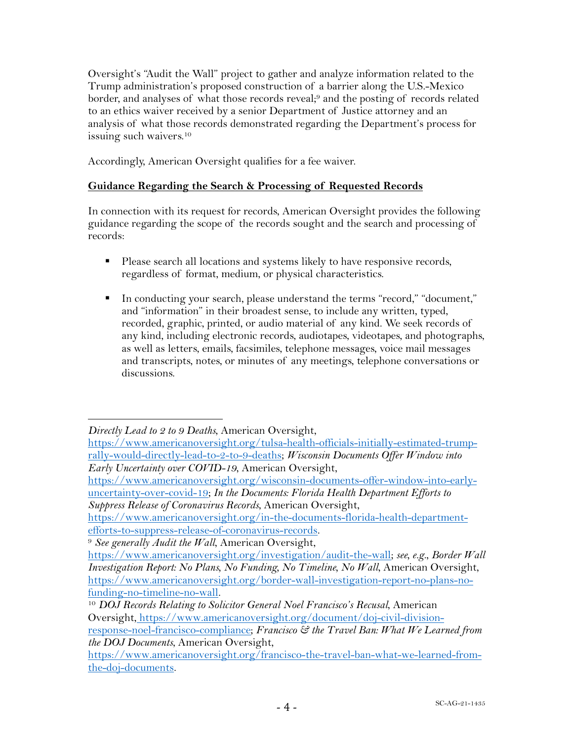Oversight's "Audit the Wall" project to gather and analyze information related to the Trump administration's proposed construction of a barrier along the U.S.-Mexico border, and analyses of what those records reveal;9 and the posting of records related to an ethics waiver received by a senior Department of Justice attorney and an analysis of what those records demonstrated regarding the Department's process for issuing such waivers.<sup>10</sup>

Accordingly, American Oversight qualifies for a fee waiver.

#### **Guidance Regarding the Search & Processing of Requested Records**

In connection with its request for records, American Oversight provides the following guidance regarding the scope of the records sought and the search and processing of records:

- Please search all locations and systems likely to have responsive records, regardless of format, medium, or physical characteristics.
- § In conducting your search, please understand the terms "record," "document," and "information" in their broadest sense, to include any written, typed, recorded, graphic, printed, or audio material of any kind. We seek records of any kind, including electronic records, audiotapes, videotapes, and photographs, as well as letters, emails, facsimiles, telephone messages, voice mail messages and transcripts, notes, or minutes of any meetings, telephone conversations or discussions.

*Directly Lead to 2 to 9 Deaths*, American Oversight,

https://www.americanoversight.org/tulsa-health-officials-initially-estimated-trumprally-would-directly-lead-to-2-to-9-deaths; *Wisconsin Documents Offer Window into Early Uncertainty over COVID-19*, American Oversight,

https://www.americanoversight.org/wisconsin-documents-offer-window-into-earlyuncertainty-over-covid-19; *In the Documents: Florida Health Department Efforts to Suppress Release of Coronavirus Records*, American Oversight,

https://www.americanoversight.org/in-the-documents-florida-health-departmentefforts-to-suppress-release-of-coronavirus-records. 9 *See generally Audit the Wall*, American Oversight,

https://www.americanoversight.org/investigation/audit-the-wall; *see, e.g.*, *Border Wall Investigation Report: No Plans, No Funding, No Timeline, No Wall*, American Oversight, https://www.americanoversight.org/border-wall-investigation-report-no-plans-nofunding-no-timeline-no-wall. 10 *DOJ Records Relating to Solicitor General Noel Francisco's Recusal*, American

Oversight, https://www.americanoversight.org/document/doj-civil-division-

response-noel-francisco-compliance; *Francisco & the Travel Ban: What We Learned from the DOJ Documents*, American Oversight,

https://www.americanoversight.org/francisco-the-travel-ban-what-we-learned-fromthe-doj-documents.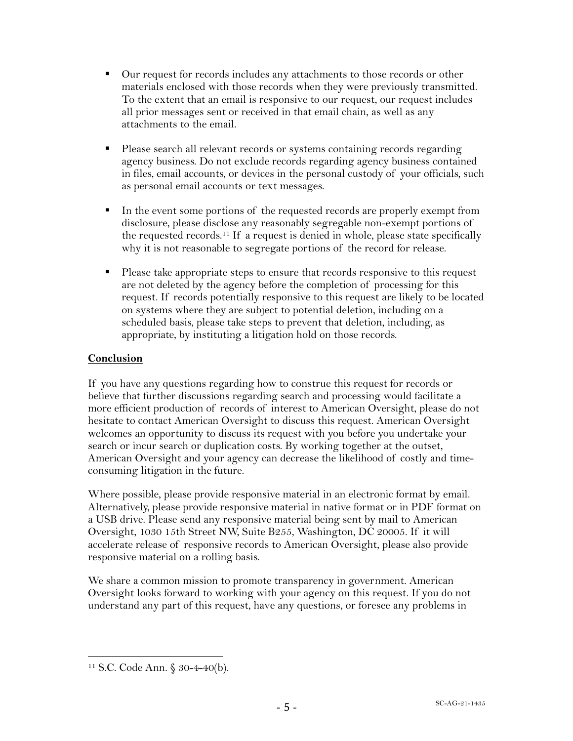- § Our request for records includes any attachments to those records or other materials enclosed with those records when they were previously transmitted. To the extent that an email is responsive to our request, our request includes all prior messages sent or received in that email chain, as well as any attachments to the email.
- Please search all relevant records or systems containing records regarding agency business. Do not exclude records regarding agency business contained in files, email accounts, or devices in the personal custody of your officials, such as personal email accounts or text messages.
- In the event some portions of the requested records are properly exempt from disclosure, please disclose any reasonably segregable non-exempt portions of the requested records.11 If a request is denied in whole, please state specifically why it is not reasonable to segregate portions of the record for release.
- Please take appropriate steps to ensure that records responsive to this request are not deleted by the agency before the completion of processing for this request. If records potentially responsive to this request are likely to be located on systems where they are subject to potential deletion, including on a scheduled basis, please take steps to prevent that deletion, including, as appropriate, by instituting a litigation hold on those records.

### **Conclusion**

If you have any questions regarding how to construe this request for records or believe that further discussions regarding search and processing would facilitate a more efficient production of records of interest to American Oversight, please do not hesitate to contact American Oversight to discuss this request. American Oversight welcomes an opportunity to discuss its request with you before you undertake your search or incur search or duplication costs. By working together at the outset, American Oversight and your agency can decrease the likelihood of costly and timeconsuming litigation in the future.

Where possible, please provide responsive material in an electronic format by email. Alternatively, please provide responsive material in native format or in PDF format on a USB drive. Please send any responsive material being sent by mail to American Oversight, 1030 15th Street NW, Suite B255, Washington, DC 20005. If it will accelerate release of responsive records to American Oversight, please also provide responsive material on a rolling basis.

We share a common mission to promote transparency in government. American Oversight looks forward to working with your agency on this request. If you do not understand any part of this request, have any questions, or foresee any problems in

<sup>11</sup> S.C. Code Ann. § 30-4-40(b).